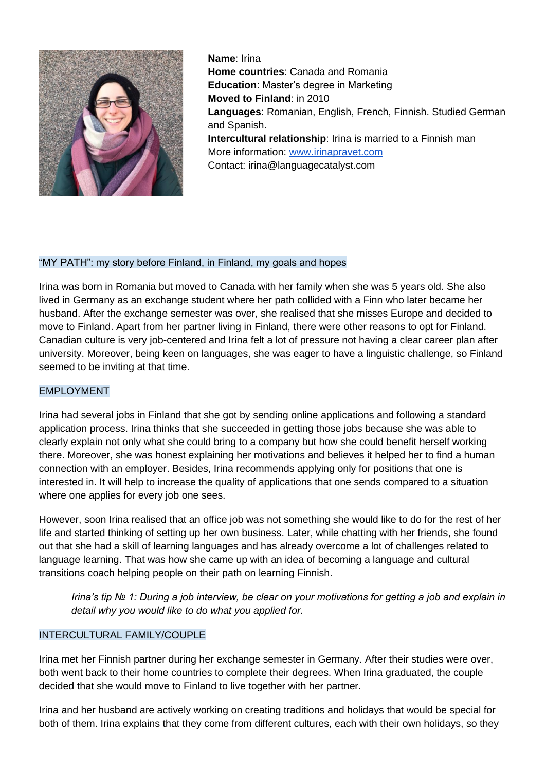

**Name**: Irina **Home countries**: Canada and Romania **Education**: Master's degree in Marketing **Moved to Finland**: in 2010 **Languages**: Romanian, English, French, Finnish. Studied German and Spanish. **Intercultural relationship**: Irina is married to a Finnish man More information: [www.irinapravet.com](http://www.irinapravet.com/) Contact: irina@languagecatalyst.com

## "MY PATH": my story before Finland, in Finland, my goals and hopes

Irina was born in Romania but moved to Canada with her family when she was 5 years old. She also lived in Germany as an exchange student where her path collided with a Finn who later became her husband. After the exchange semester was over, she realised that she misses Europe and decided to move to Finland. Apart from her partner living in Finland, there were other reasons to opt for Finland. Canadian culture is very job-centered and Irina felt a lot of pressure not having a clear career plan after university. Moreover, being keen on languages, she was eager to have a linguistic challenge, so Finland seemed to be inviting at that time.

## EMPLOYMENT

Irina had several jobs in Finland that she got by sending online applications and following a standard application process. Irina thinks that she succeeded in getting those jobs because she was able to clearly explain not only what she could bring to a company but how she could benefit herself working there. Moreover, she was honest explaining her motivations and believes it helped her to find a human connection with an employer. Besides, Irina recommends applying only for positions that one is interested in. It will help to increase the quality of applications that one sends compared to a situation where one applies for every job one sees.

However, soon Irina realised that an office job was not something she would like to do for the rest of her life and started thinking of setting up her own business. Later, while chatting with her friends, she found out that she had a skill of learning languages and has already overcome a lot of challenges related to language learning. That was how she came up with an idea of becoming a language and cultural transitions coach helping people on their path on learning Finnish.

*Irina's tip № 1: During a job interview, be clear on your motivations for getting a job and explain in detail why you would like to do what you applied for.* 

## INTERCULTURAL FAMILY/COUPLE

Irina met her Finnish partner during her exchange semester in Germany. After their studies were over, both went back to their home countries to complete their degrees. When Irina graduated, the couple decided that she would move to Finland to live together with her partner.

Irina and her husband are actively working on creating traditions and holidays that would be special for both of them. Irina explains that they come from different cultures, each with their own holidays, so they